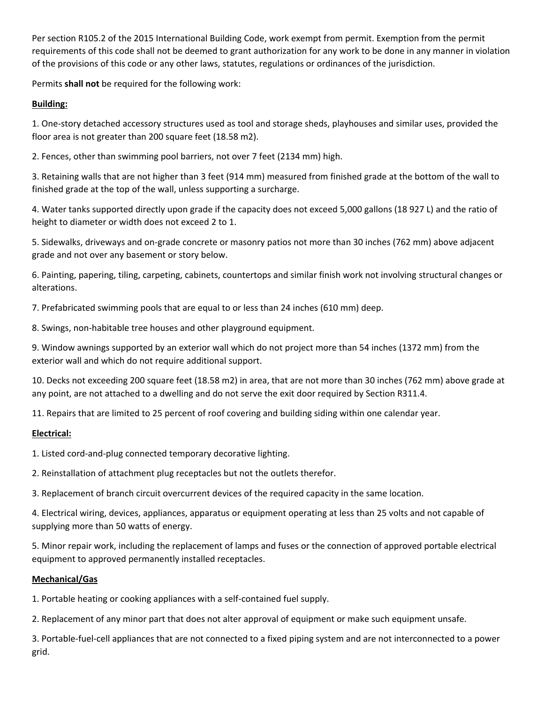Per section R105.2 of the 2015 International Building Code, work exempt from permit. Exemption from the permit requirements of this code shall not be deemed to grant authorization for any work to be done in any manner in violation of the provisions of this code or any other laws, statutes, regulations or ordinances of the jurisdiction.

Permits **shall not** be required for the following work:

## **Building:**

1. One-story detached accessory structures used as tool and storage sheds, playhouses and similar uses, provided the floor area is not greater than 200 square feet (18.58 m2).

2. Fences, other than swimming pool barriers, not over 7 feet (2134 mm) high.

3. Retaining walls that are not higher than 3 feet (914 mm) measured from finished grade at the bottom of the wall to finished grade at the top of the wall, unless supporting a surcharge.

4. Water tanks supported directly upon grade if the capacity does not exceed 5,000 gallons (18 927 L) and the ratio of height to diameter or width does not exceed 2 to 1.

5. Sidewalks, driveways and on-grade concrete or masonry patios not more than 30 inches (762 mm) above adjacent grade and not over any basement or story below.

6. Painting, papering, tiling, carpeting, cabinets, countertops and similar finish work not involving structural changes or alterations.

7. Prefabricated swimming pools that are equal to or less than 24 inches (610 mm) deep.

8. Swings, non-habitable tree houses and other playground equipment.

9. Window awnings supported by an exterior wall which do not project more than 54 inches (1372 mm) from the exterior wall and which do not require additional support.

10. Decks not exceeding 200 square feet (18.58 m2) in area, that are not more than 30 inches (762 mm) above grade at any point, are not attached to a dwelling and do not serve the exit door required by Section R311.4.

11. Repairs that are limited to 25 percent of roof covering and building siding within one calendar year.

## **Electrical:**

1. Listed cord-and-plug connected temporary decorative lighting.

2. Reinstallation of attachment plug receptacles but not the outlets therefor.

3. Replacement of branch circuit overcurrent devices of the required capacity in the same location.

4. Electrical wiring, devices, appliances, apparatus or equipment operating at less than 25 volts and not capable of supplying more than 50 watts of energy.

5. Minor repair work, including the replacement of lamps and fuses or the connection of approved portable electrical equipment to approved permanently installed receptacles.

## **Mechanical/Gas**

1. Portable heating or cooking appliances with a self-contained fuel supply.

2. Replacement of any minor part that does not alter approval of equipment or make such equipment unsafe.

3. Portable-fuel-cell appliances that are not connected to a fixed piping system and are not interconnected to a power grid.